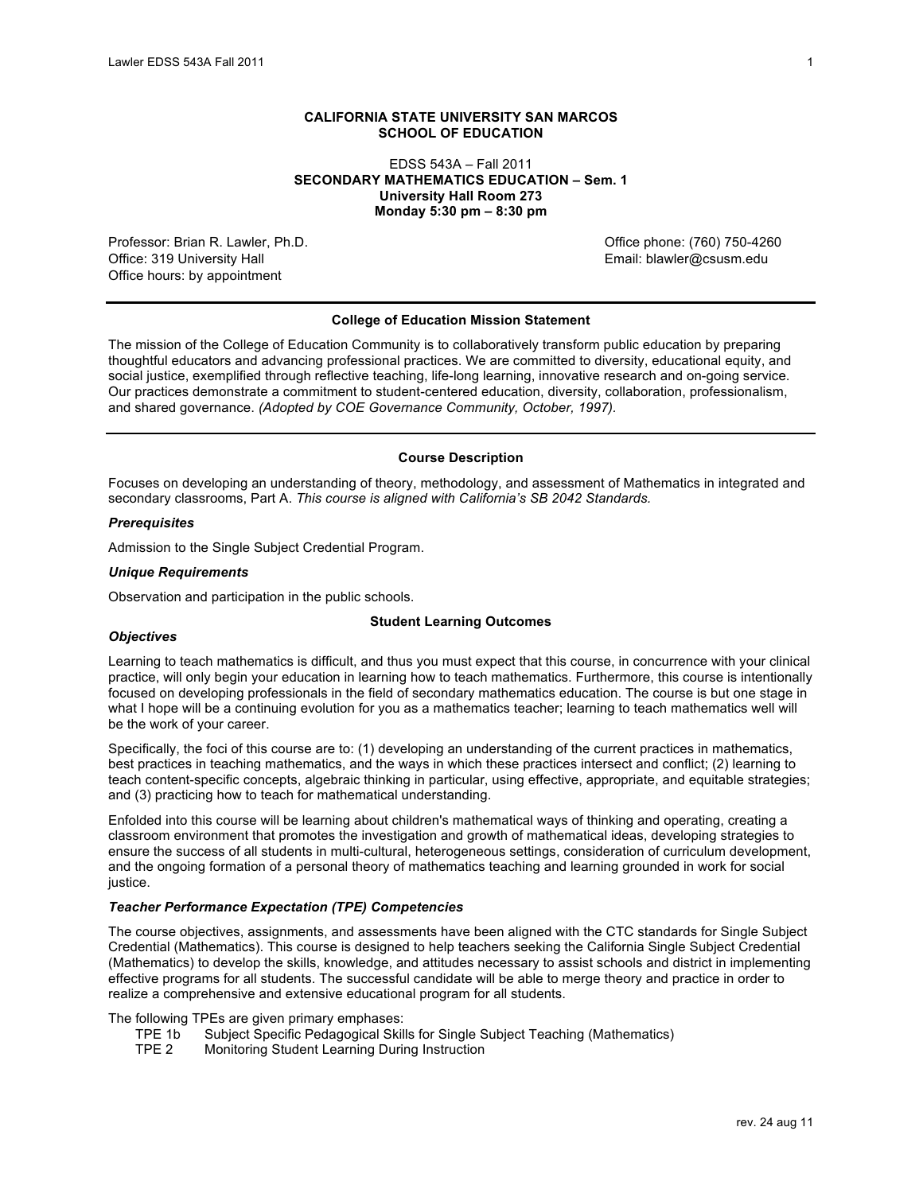#### **CALIFORNIA STATE UNIVERSITY SAN MARCOS SCHOOL OF EDUCATION**

### EDSS 543A – Fall 2011  **University Hall Room 273 Monday 5:30 pm – 8:30 pm SECONDARY MATHEMATICS EDUCATION – Sem. 1**

Professor: Brian R. Lawler, Ph.D. Channel Communication of the Communication of Communication of Communication Office: 319 University Hall Office hours: by appointment

Email: blawler@csusm.edu

#### **College of Education Mission Statement**

 The mission of the College of Education Community is to collaboratively transform public education by preparing social justice, exemplified through reflective teaching, life-long learning, innovative research and on-going service. Our practices demonstrate a commitment to student-centered education, diversity, collaboration, professionalism,  and shared governance. *(Adopted by COE Governance Community, October, 1997).*  thoughtful educators and advancing professional practices. We are committed to diversity, educational equity, and

### **Course Description**

 Focuses on developing an understanding of theory, methodology, and assessment of Mathematics in integrated and  secondary classrooms, Part A. *This course is aligned with California's SB 2042 Standards.* 

#### *Prerequisites*

Admission to the Single Subject Credential Program.

#### *Unique Requirements*

Observation and participation in the public schools.

#### **Student Learning Outcomes**

#### *Objectives*

 Learning to teach mathematics is difficult, and thus you must expect that this course, in concurrence with your clinical practice, will only begin your education in learning how to teach mathematics. Furthermore, this course is intentionally what I hope will be a continuing evolution for you as a mathematics teacher; learning to teach mathematics well will focused on developing professionals in the field of secondary mathematics education. The course is but one stage in be the work of your career.

 Specifically, the foci of this course are to: (1) developing an understanding of the current practices in mathematics, best practices in teaching mathematics, and the ways in which these practices intersect and conflict; (2) learning to teach content-specific concepts, algebraic thinking in particular, using effective, appropriate, and equitable strategies; and (3) practicing how to teach for mathematical understanding.

 Enfolded into this course will be learning about children's mathematical ways of thinking and operating, creating a classroom environment that promotes the investigation and growth of mathematical ideas, developing strategies to ensure the success of all students in multi-cultural, heterogeneous settings, consideration of curriculum development, and the ongoing formation of a personal theory of mathematics teaching and learning grounded in work for social justice.

### *Teacher Performance Expectation (TPE) Competencies*

 The course objectives, assignments, and assessments have been aligned with the CTC standards for Single Subject Credential (Mathematics). This course is designed to help teachers seeking the California Single Subject Credential (Mathematics) to develop the skills, knowledge, and attitudes necessary to assist schools and district in implementing effective programs for all students. The successful candidate will be able to merge theory and practice in order to realize a comprehensive and extensive educational program for all students.

The following TPEs are given primary emphases:<br>TPE 1b Subject Specific Pedagogical Skil

- TPE 1b Subject Specific Pedagogical Skills for Single Subject Teaching (Mathematics)
- TPE 2 Monitoring Student Learning During Instruction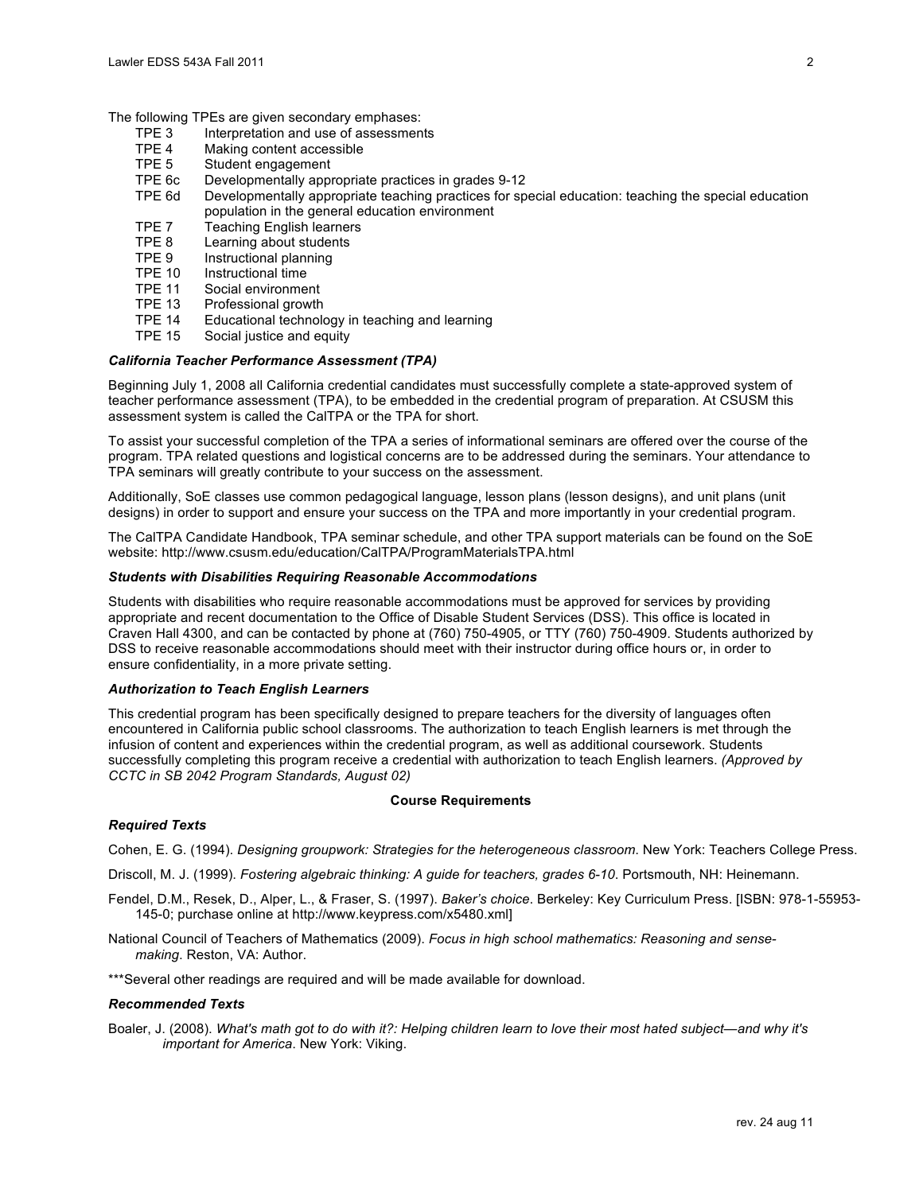The following TPEs are given secondary emphases:<br>TPE 3 Interpretation and use of assessmen

- TPE 3 Interpretation and use of assessments<br>TPE 4 Making content accessible
- TPE 4 Making content accessible
- TPE 5 Student engagement
- TPE 6c Developmentally appropriate practices in grades 9-12
- TPE 6d Developmentally appropriate teaching practices for special education: teaching the special education population in the general education environment
- TPE 7 Teaching English learners
- TPE 8 Learning about students
- TPE 9 Instructional planning<br>TPE 10 Instructional time
- TPE 10 Instructional time<br>TPE 11 Social environme
- Social environment
- TPE 13 Professional growth<br>TPE 14 Educational technold
- TPE 14 Educational technology in teaching and learning
- TPE 15 Social justice and equity

### *California Teacher Performance Assessment (TPA)*

 Beginning July 1, 2008 all California credential candidates must successfully complete a state-approved system of assessment system is called the CalTPA or the TPA for short. teacher performance assessment (TPA), to be embedded in the credential program of preparation. At CSUSM this

 To assist your successful completion of the TPA a series of informational seminars are offered over the course of the program. TPA related questions and logistical concerns are to be addressed during the seminars. Your attendance to TPA seminars will greatly contribute to your success on the assessment.

 Additionally, SoE classes use common pedagogical language, lesson plans (lesson designs), and unit plans (unit designs) in order to support and ensure your success on the TPA and more importantly in your credential program.

 The CalTPA Candidate Handbook, TPA seminar schedule, and other TPA support materials can be found on the SoE website: http://www.csusm.edu/education/CalTPA/ProgramMaterialsTPA.html

#### *Students with Disabilities Requiring Reasonable Accommodations*

 Students with disabilities who require reasonable accommodations must be approved for services by providing appropriate and recent documentation to the Office of Disable Student Services (DSS). This office is located in Craven Hall 4300, and can be contacted by phone at (760) 750-4905, or TTY (760) 750-4909. Students authorized by DSS to receive reasonable accommodations should meet with their instructor during office hours or, in order to ensure confidentiality, in a more private setting.

### *Authorization to Teach English Learners*

 This credential program has been specifically designed to prepare teachers for the diversity of languages often encountered in California public school classrooms. The authorization to teach English learners is met through the infusion of content and experiences within the credential program, as well as additional coursework. Students successfully completing this program receive a credential with authorization to teach English learners. *(Approved by CCTC in SB 2042 Program Standards, August 02)* 

#### **Course Requirements**

#### *Required Texts*

Cohen, E. G. (1994). *Designing groupwork: Strategies for the heterogeneous classroom*. New York: Teachers College Press.

Driscoll, M. J. (1999). *Fostering algebraic thinking: A guide for teachers, grades 6-10*. Portsmouth, NH: Heinemann.

- Fendel, D.M., Resek, D., Alper, L., & Fraser, S. (1997). *Baker's choice*. Berkeley: Key Curriculum Press. [ISBN: 978-1-55953- 145-0; purchase online at http://www.keypress.com/x5480.xml]
- National Council of Teachers of Mathematics (2009). *Focus in high school mathematics: Reasoning and sensemaking*. Reston, VA: Author.

\*\*\*Several other readings are required and will be made available for download.

#### *Recommended Texts*

 Boaler, J. (2008). *What's math got to do with it?: Helping children learn to love their most hated subject—and why it's important for America*. New York: Viking.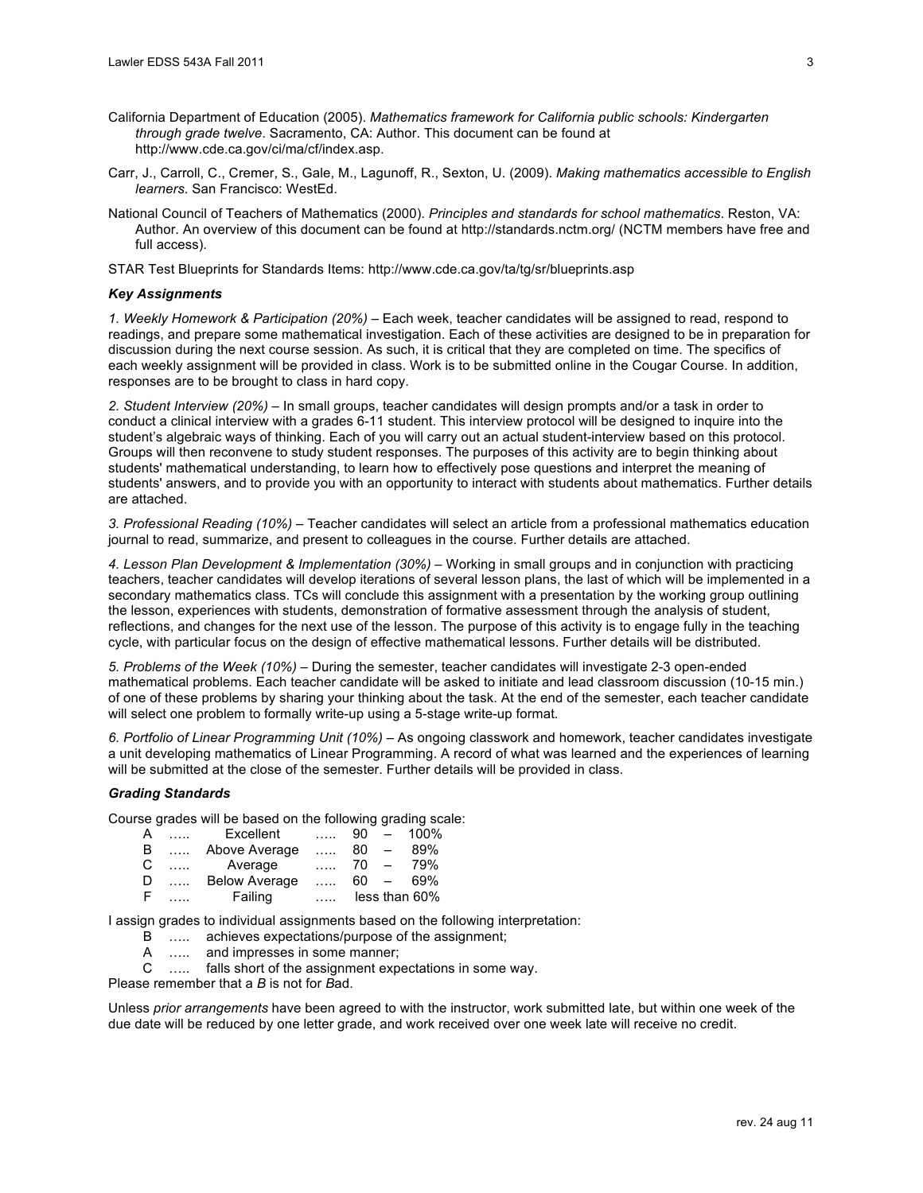- California Department of Education (2005). *Mathematics framework for California public schools: Kindergarten through grade twelve*. Sacramento, CA: Author. This document can be found at http://www.cde.ca.gov/ci/ma/cf/index.asp.
- Carr, J., Carroll, C., Cremer, S., Gale, M., Lagunoff, R., Sexton, U. (2009). *Making mathematics accessible to English learners*. San Francisco: WestEd.
- National Council of Teachers of Mathematics (2000). *Principles and standards for school mathematics*. Reston, VA: Author. An overview of this document can be found at http://standards.nctm.org/ (NCTM members have free and full access).

STAR Test Blueprints for Standards Items: http://www.cde.ca.gov/ta/tg/sr/blueprints.asp

### *Key Assignments*

 *1. Weekly Homework & Participation (20%)* – Each week, teacher candidates will be assigned to read, respond to readings, and prepare some mathematical investigation. Each of these activities are designed to be in preparation for discussion during the next course session. As such, it is critical that they are completed on time. The specifics of each weekly assignment will be provided in class. Work is to be submitted online in the Cougar Course. In addition, responses are to be brought to class in hard copy.

 *2. Student Interview (20%)* – In small groups, teacher candidates will design prompts and/or a task in order to conduct a clinical interview with a grades 6-11 student. This interview protocol will be designed to inquire into the student's algebraic ways of thinking. Each of you will carry out an actual student-interview based on this protocol. Groups will then reconvene to study student responses. The purposes of this activity are to begin thinking about students' mathematical understanding, to learn how to effectively pose questions and interpret the meaning of students' answers, and to provide you with an opportunity to interact with students about mathematics. Further details are attached.

 *3. Professional Reading (10%)* – Teacher candidates will select an article from a professional mathematics education journal to read, summarize, and present to colleagues in the course. Further details are attached.

4. Lesson Plan Development & Implementation (30%) – Working in small groups and in conjunction with practicing secondary mathematics class. TCs will conclude this assignment with a presentation by the working group outlining the lesson, experiences with students, demonstration of formative assessment through the analysis of student, reflections, and changes for the next use of the lesson. The purpose of this activity is to engage fully in the teaching cycle, with particular focus on the design of effective mathematical lessons. Further details will be distributed. teachers, teacher candidates will develop iterations of several lesson plans, the last of which will be implemented in a

 *5. Problems of the Week (10%)* – During the semester, teacher candidates will investigate 2-3 open-ended mathematical problems. Each teacher candidate will be asked to initiate and lead classroom discussion (10-15 min.) of one of these problems by sharing your thinking about the task. At the end of the semester, each teacher candidate will select one problem to formally write-up using a 5-stage write-up format.

 *6. Portfolio of Linear Programming Unit (10%)* – As ongoing classwork and homework, teacher candidates investigate a unit developing mathematics of Linear Programming. A record of what was learned and the experiences of learning will be submitted at the close of the semester. Further details will be provided in class.

## *Grading Standards*

Course grades will be based on the following grading scale:

| A  | $\ldots$ | Excellent            | $\ldots$ |        |                          | $90 - 100\%$  |
|----|----------|----------------------|----------|--------|--------------------------|---------------|
| B  | $\cdots$ | Above Average        | 1.1.1.1  | 80     | $\qquad \qquad$          | 89%           |
| C  | $\ldots$ | Average              | 1.1.1    | 70     | $\overline{\phantom{0}}$ | 79%           |
| D  | $\cdots$ | <b>Below Average</b> | 1.1.1    | $60 -$ |                          | 69%           |
| -F |          | Failing              |          |        |                          | less than 60% |

I assign grades to individual assignments based on the following interpretation:

- B ….. achieves expectations/purpose of the assignment;
- A ….. and impresses in some manner;<br>C ….. falls short of the assignment exp

..... falls short of the assignment expectations in some way.

Please remember that a *B* is not for *B*ad.

 Unless *prior arrangements* have been agreed to with the instructor, work submitted late, but within one week of the due date will be reduced by one letter grade, and work received over one week late will receive no credit.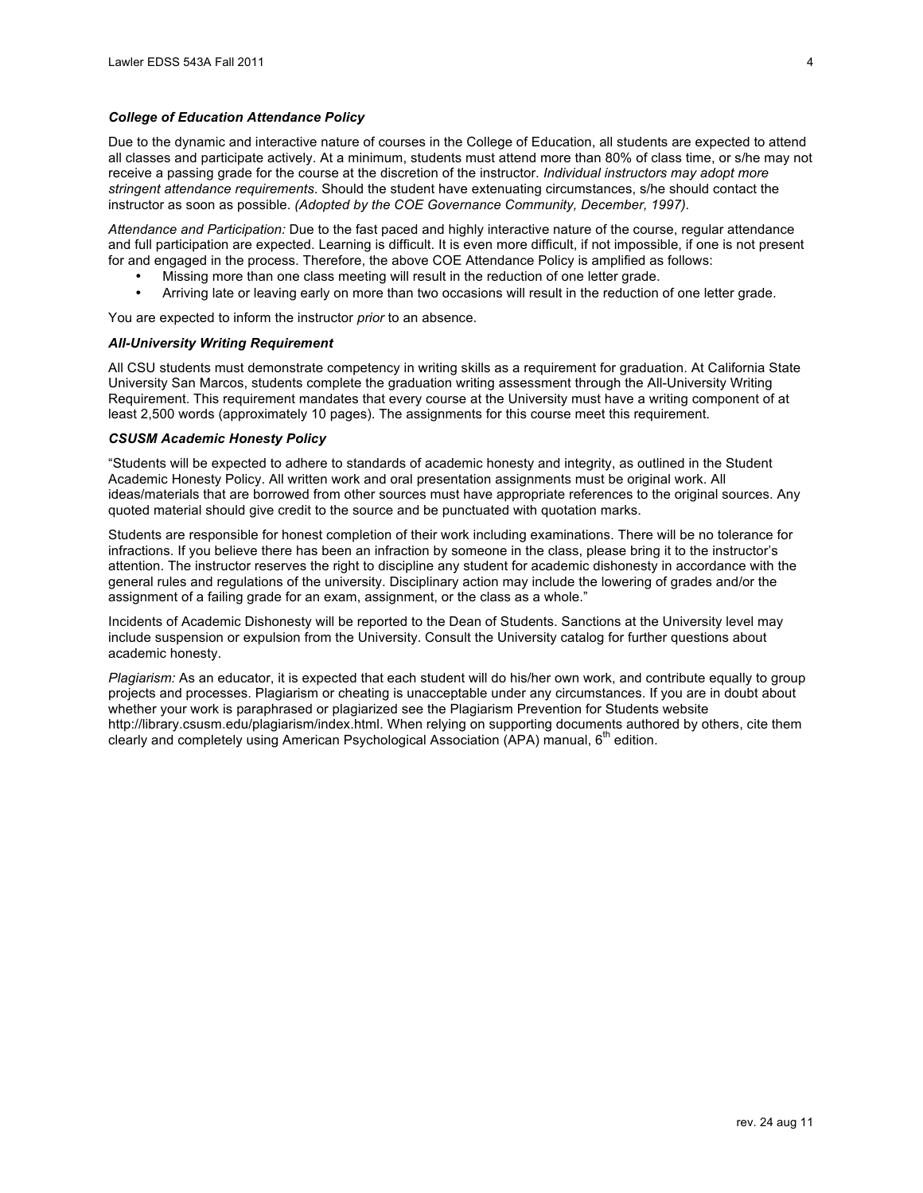#### *College of Education Attendance Policy*

 Due to the dynamic and interactive nature of courses in the College of Education, all students are expected to attend all classes and participate actively. At a minimum, students must attend more than 80% of class time, or s/he may not receive a passing grade for the course at the discretion of the instructor. *Individual instructors may adopt more*  instructor as soon as possible. *(Adopted by the COE Governance Community, December, 1997). stringent attendance requirements*. Should the student have extenuating circumstances, s/he should contact the

Attendance and Participation: Due to the fast paced and highly interactive nature of the course, regular attendance and full participation are expected. Learning is difficult. It is even more difficult, if not impossible, if one is not present for and engaged in the process. Therefore, the above COE Attendance Policy is amplified as follows:

- Missing more than one class meeting will result in the reduction of one letter grade.
- Arriving late or leaving early on more than two occasions will result in the reduction of one letter grade.

You are expected to inform the instructor *prior* to an absence.

#### *All-University Writing Requirement*

 All CSU students must demonstrate competency in writing skills as a requirement for graduation. At California State University San Marcos, students complete the graduation writing assessment through the All-University Writing Requirement. This requirement mandates that every course at the University must have a writing component of at least 2,500 words (approximately 10 pages). The assignments for this course meet this requirement.

#### *CSUSM Academic Honesty Policy*

 "Students will be expected to adhere to standards of academic honesty and integrity, as outlined in the Student Academic Honesty Policy. All written work and oral presentation assignments must be original work. All ideas/materials that are borrowed from other sources must have appropriate references to the original sources. Any quoted material should give credit to the source and be punctuated with quotation marks.

 Students are responsible for honest completion of their work including examinations. There will be no tolerance for attention. The instructor reserves the right to discipline any student for academic dishonesty in accordance with the general rules and regulations of the university. Disciplinary action may include the lowering of grades and/or the assignment of a failing grade for an exam, assignment, or the class as a whole." infractions. If you believe there has been an infraction by someone in the class, please bring it to the instructor's

 include suspension or expulsion from the University. Consult the University catalog for further questions about Incidents of Academic Dishonesty will be reported to the Dean of Students. Sanctions at the University level may academic honesty.

 *Plagiarism:* As an educator, it is expected that each student will do his/her own work, and contribute equally to group projects and processes. Plagiarism or cheating is unacceptable under any circumstances. If you are in doubt about whether your work is paraphrased or plagiarized see the Plagiarism Prevention for Students website http://library.csusm.edu/plagiarism/index.html. When relying on supporting documents authored by others, cite them clearly and completely using American Psychological Association (APA) manual, 6<sup>th</sup> edition.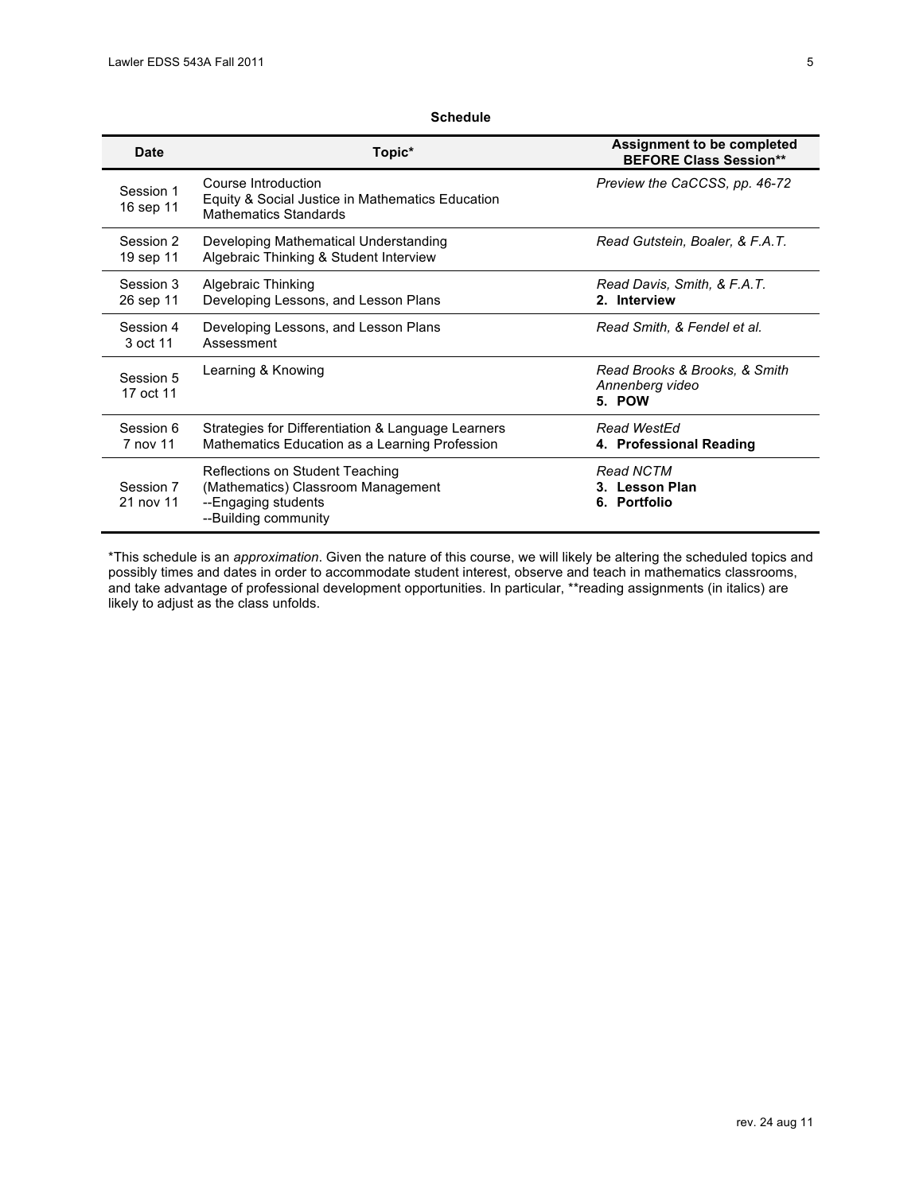# **Schedule**

| <b>Date</b>            | Topic*                                                                                                               | Assignment to be completed<br><b>BEFORE Class Session**</b> |
|------------------------|----------------------------------------------------------------------------------------------------------------------|-------------------------------------------------------------|
| Session 1<br>16 sep 11 | Course Introduction<br>Equity & Social Justice in Mathematics Education<br><b>Mathematics Standards</b>              | Preview the CaCCSS, pp. 46-72                               |
| Session 2<br>19 sep 11 | Developing Mathematical Understanding<br>Algebraic Thinking & Student Interview                                      | Read Gutstein, Boaler, & F.A.T.                             |
| Session 3<br>26 sep 11 | Algebraic Thinking<br>Developing Lessons, and Lesson Plans                                                           | Read Davis, Smith, & F.A.T.<br>2. Interview                 |
| Session 4<br>3 oct 11  | Developing Lessons, and Lesson Plans<br>Assessment                                                                   | Read Smith, & Fendel et al.                                 |
| Session 5<br>17 oct 11 | Learning & Knowing                                                                                                   | Read Brooks & Brooks, & Smith<br>Annenberg video<br>5. POW  |
| Session 6<br>7 nov 11  | Strategies for Differentiation & Language Learners<br>Mathematics Education as a Learning Profession                 | <b>Read WestEd</b><br>4. Professional Reading               |
| Session 7<br>21 nov 11 | Reflections on Student Teaching<br>(Mathematics) Classroom Management<br>--Engaging students<br>--Building community | <b>Read NCTM</b><br>3. Lesson Plan<br>6. Portfolio          |

 and take advantage of professional development opportunities. In particular, \*\*reading assignments (in italics) are \*This schedule is an *approximation*. Given the nature of this course, we will likely be altering the scheduled topics and possibly times and dates in order to accommodate student interest, observe and teach in mathematics classrooms, likely to adjust as the class unfolds.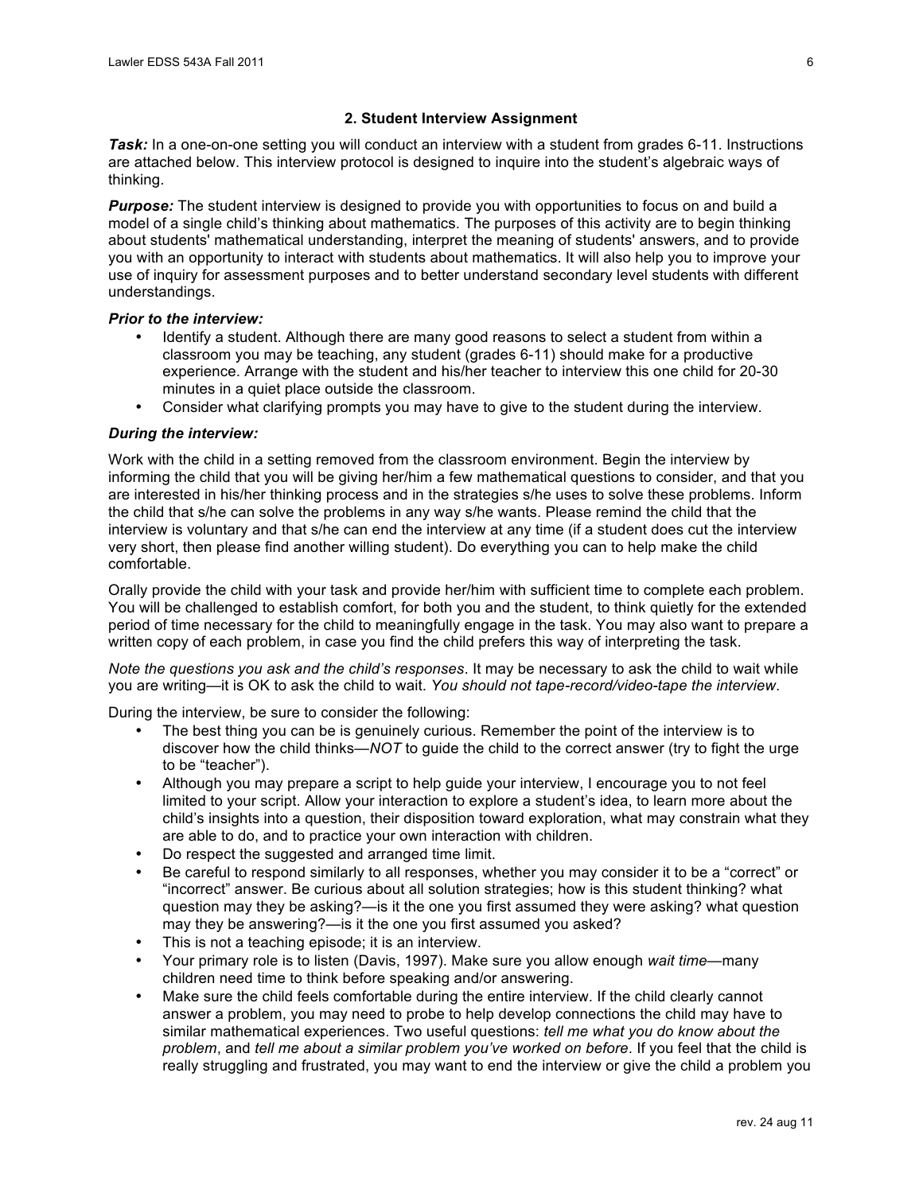## **2. Student Interview Assignment**

**Task:** In a one-on-one setting you will conduct an interview with a student from grades 6-11. Instructions are attached below. This interview protocol is designed to inquire into the student's algebraic ways of thinking.

 *Purpose:* The student interview is designed to provide you with opportunities to focus on and build a model of a single child's thinking about mathematics. The purposes of this activity are to begin thinking about students' mathematical understanding, interpret the meaning of students' answers, and to provide you with an opportunity to interact with students about mathematics. It will also help you to improve your use of inquiry for assessment purposes and to better understand secondary level students with different understandings.

## *Prior to the interview:*

- Identify a student. Although there are many good reasons to select a student from within a classroom you may be teaching, any student (grades 6-11) should make for a productive experience. Arrange with the student and his/her teacher to interview this one child for 20-30 minutes in a quiet place outside the classroom.
- • Consider what clarifying prompts you may have to give to the student during the interview.

# *During the interview:*

 Work with the child in a setting removed from the classroom environment. Begin the interview by informing the child that you will be giving her/him a few mathematical questions to consider, and that you are interested in his/her thinking process and in the strategies s/he uses to solve these problems. Inform interview is voluntary and that s/he can end the interview at any time (if a student does cut the interview very short, then please find another willing student). Do everything you can to help make the child the child that s/he can solve the problems in any way s/he wants. Please remind the child that the comfortable.

 Orally provide the child with your task and provide her/him with sufficient time to complete each problem. You will be challenged to establish comfort, for both you and the student, to think quietly for the extended period of time necessary for the child to meaningfully engage in the task. You may also want to prepare a written copy of each problem, in case you find the child prefers this way of interpreting the task.

 *Note the questions you ask and the child's responses*. It may be necessary to ask the child to wait while you are writing—it is OK to ask the child to wait. *You should not tape-record/video-tape the interview*.

During the interview, be sure to consider the following:

- The best thing you can be is genuinely curious. Remember the point of the interview is to discover how the child thinks—*NOT* to guide the child to the correct answer (try to fight the urge to be "teacher").
- Although you may prepare a script to help guide your interview, I encourage you to not feel limited to your script. Allow your interaction to explore a student's idea, to learn more about the child's insights into a question, their disposition toward exploration, what may constrain what they are able to do, and to practice your own interaction with children.
- • Do respect the suggested and arranged time limit.
- "incorrect" answer. Be curious about all solution strategies; how is this student thinking? what question may they be asking?—is it the one you first assumed they were asking? what question may they be answering?—is it the one you first assumed you asked? Be careful to respond similarly to all responses, whether you may consider it to be a "correct" or
- • This is not a teaching episode; it is an interview.
- • Your primary role is to listen (Davis, 1997). Make sure you allow enough *wait time*—many children need time to think before speaking and/or answering.
- Make sure the child feels comfortable during the entire interview. If the child clearly cannot answer a problem, you may need to probe to help develop connections the child may have to really struggling and frustrated, you may want to end the interview or give the child a problem you similar mathematical experiences. Two useful questions: *tell me what you do know about the problem*, and *tell me about a similar problem you've worked on before*. If you feel that the child is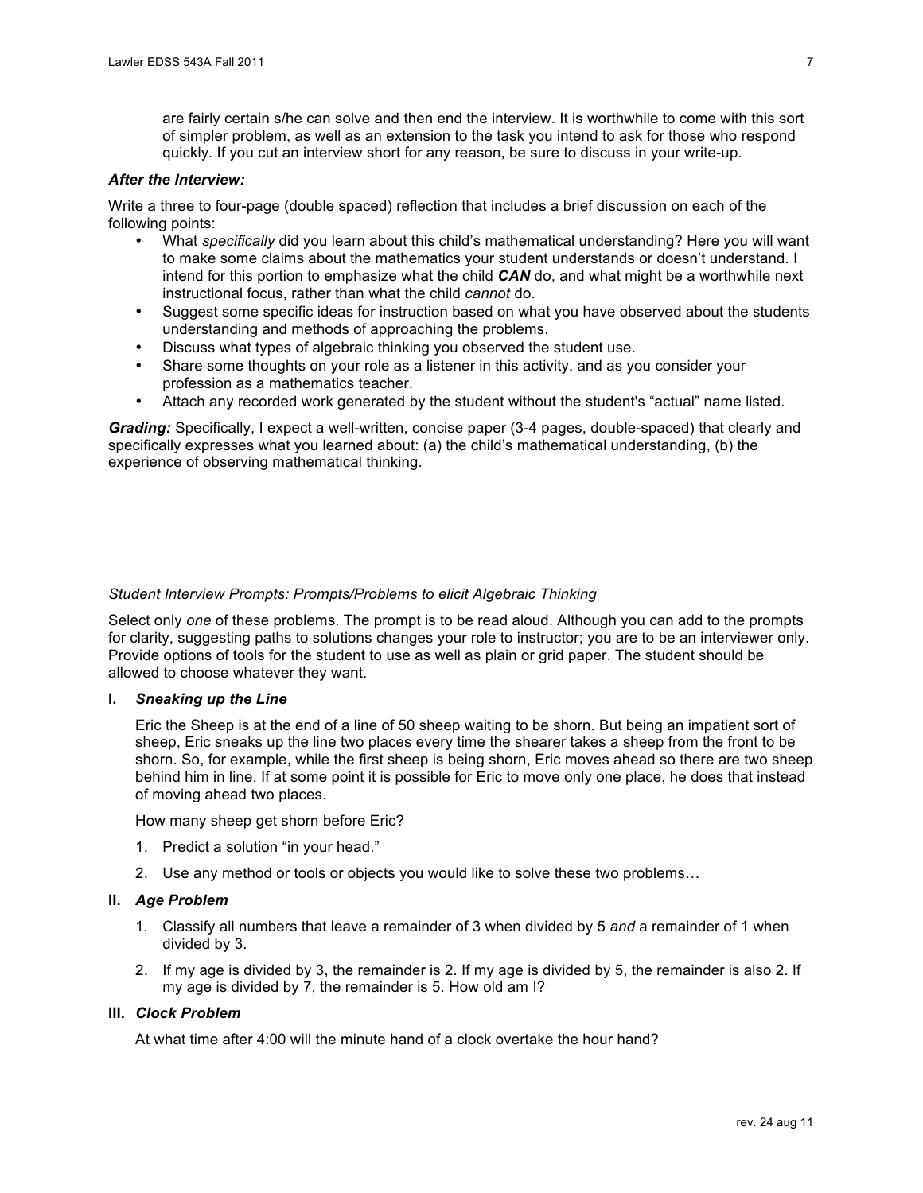are fairly certain s/he can solve and then end the interview. It is worthwhile to come with this sort of simpler problem, as well as an extension to the task you intend to ask for those who respond quickly. If you cut an interview short for any reason, be sure to discuss in your write-up.

# *After the Interview:*

 Write a three to four-page (double spaced) reflection that includes a brief discussion on each of the following points:

- • What *specifically* did you learn about this child's mathematical understanding? Here you will want intend for this portion to emphasize what the child *CAN* do, and what might be a worthwhile next instructional focus, rather than what the child *cannot* do. to make some claims about the mathematics your student understands or doesn't understand. I
- Suggest some specific ideas for instruction based on what you have observed about the students understanding and methods of approaching the problems.
- • Discuss what types of algebraic thinking you observed the student use.
- Share some thoughts on your role as a listener in this activity, and as you consider your profession as a mathematics teacher.
- Attach any recorded work generated by the student without the student's "actual" name listed.

 *Grading:* Specifically, I expect a well-written, concise paper (3-4 pages, double-spaced) that clearly and specifically expresses what you learned about: (a) the child's mathematical understanding, (b) the experience of observing mathematical thinking.

# *Student Interview Prompts: Prompts/Problems to elicit Algebraic Thinking*

 Select only *one* of these problems. The prompt is to be read aloud. Although you can add to the prompts Provide options of tools for the student to use as well as plain or grid paper. The student should be allowed to choose whatever they want. for clarity, suggesting paths to solutions changes your role to instructor; you are to be an interviewer only.

## **I.** *Sneaking up the Line*

 Eric the Sheep is at the end of a line of 50 sheep waiting to be shorn. But being an impatient sort of sheep, Eric sneaks up the line two places every time the shearer takes a sheep from the front to be shorn. So, for example, while the first sheep is being shorn, Eric moves ahead so there are two sheep behind him in line. If at some point it is possible for Eric to move only one place, he does that instead of moving ahead two places.

How many sheep get shorn before Eric?

- 1. Predict a solution "in your head."
- 2. Use any method or tools or objects you would like to solve these two problems...

# **II.** *Age Problem*

- 1. Classify all numbers that leave a remainder of 3 when divided by 5 *and* a remainder of 1 when divided by 3.
- my age is divided by 7, the remainder is 5. How old am I? 2. If my age is divided by 3, the remainder is 2. If my age is divided by 5, the remainder is also 2. If

## **III.** *Clock Problem*

At what time after 4:00 will the minute hand of a clock overtake the hour hand?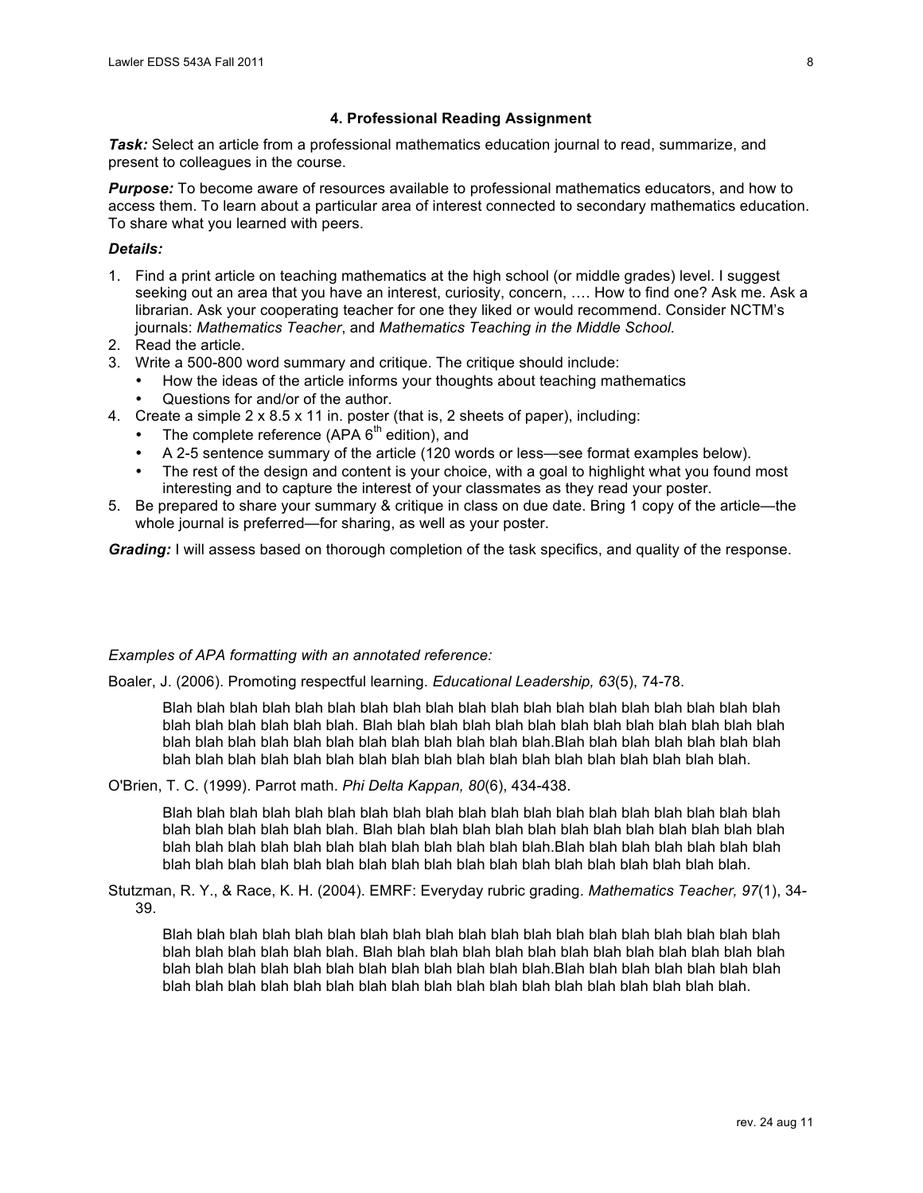## **4. Professional Reading Assignment**

 *Task:* Select an article from a professional mathematics education journal to read, summarize, and present to colleagues in the course.

 *Purpose:* To become aware of resources available to professional mathematics educators, and how to access them. To learn about a particular area of interest connected to secondary mathematics education. To share what you learned with peers.

# *Details:*

- 1. Find a print article on teaching mathematics at the high school (or middle grades) level. I suggest seeking out an area that you have an interest, curiosity, concern, …. How to find one? Ask me. Ask a librarian. Ask your cooperating teacher for one they liked or would recommend. Consider NCTM's  journals: *Mathematics Teacher*, and *Mathematics Teaching in the Middle School.*
- 2. Read the article.
- 3. Write a 500-800 word summary and critique. The critique should include:
	- How the ideas of the article informs your thoughts about teaching mathematics • Questions for and/or of the author.
- 4. Create a simple  $2 \times 8.5 \times 11$  in. poster (that is, 2 sheets of paper), including:
	- The complete reference (APA  $6<sup>th</sup>$  edition), and
	- • A 2-5 sentence summary of the article (120 words or less—see format examples below).
	- The rest of the design and content is your choice, with a goal to highlight what you found most interesting and to capture the interest of your classmates as they read your poster.
- 5. Be prepared to share your summary & critique in class on due date. Bring 1 copy of the article—the whole journal is preferred—for sharing, as well as your poster.

*Grading:* I will assess based on thorough completion of the task specifics, and quality of the response.

## *Examples of APA formatting with an annotated reference:*

Boaler, J. (2006). Promoting respectful learning. *Educational Leadership, 63*(5), 74-78.

 Blah blah blah blah blah blah blah blah blah blah blah blah blah blah blah blah blah blah blah blah blah blah blah blah blah. Blah blah blah blah blah blah blah blah blah blah blah blah blah blah blah blah blah blah blah blah blah blah blah blah blah.Blah blah blah blah blah blah blah blah blah blah blah blah blah blah blah blah blah blah blah blah blah blah blah blah blah.

O'Brien, T. C. (1999). Parrot math. *Phi Delta Kappan, 80*(6), 434-438.

 Blah blah blah blah blah blah blah blah blah blah blah blah blah blah blah blah blah blah blah blah blah blah blah blah blah. Blah blah blah blah blah blah blah blah blah blah blah blah blah blah blah blah blah blah blah blah blah blah blah blah blah.Blah blah blah blah blah blah blah blah blah blah blah blah blah blah blah blah blah blah blah blah blah blah blah blah blah.

 Stutzman, R. Y., & Race, K. H. (2004). EMRF: Everyday rubric grading. *Mathematics Teacher, 97*(1), 34- 39.

 Blah blah blah blah blah blah blah blah blah blah blah blah blah blah blah blah blah blah blah blah blah blah blah blah blah. Blah blah blah blah blah blah blah blah blah blah blah blah blah blah blah blah blah blah blah blah blah blah blah blah blah.Blah blah blah blah blah blah blah blah blah blah blah blah blah blah blah blah blah blah blah blah blah blah blah blah blah.